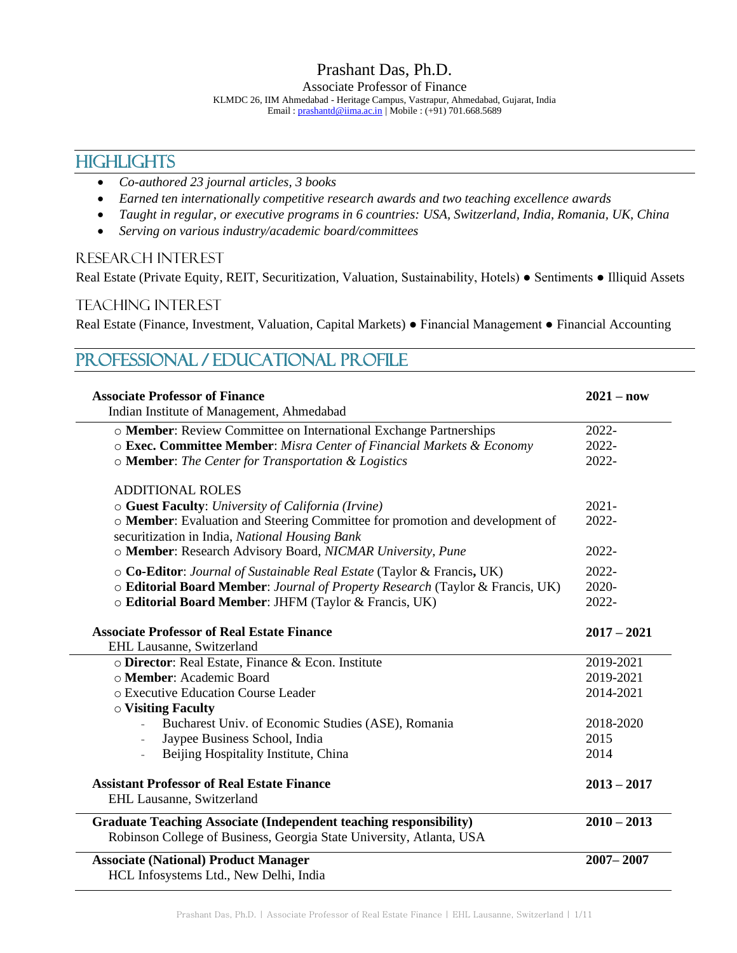# **HIGHLIGHTS**

- *Co-authored 23 journal articles, 3 books*
- *Earned ten internationally competitive research awards and two teaching excellence awards*
- *Taught in regular, or executive programs in 6 countries: USA, Switzerland, India, Romania, UK, China*
- *Serving on various industry/academic board/committees*

### RESEARCH INTEREST

Real Estate (Private Equity, REIT, Securitization, Valuation, Sustainability, Hotels) ● Sentiments ● Illiquid Assets

### TEACHING INTEREST

Real Estate (Finance, Investment, Valuation, Capital Markets) ● Financial Management ● Financial Accounting

#### PROFESSIONAL / Educational Profile **Associate Professor of Finance** Indian Institute of Management, Ahmedabad **2021 – now** o **Member**: Review Committee on International Exchange Partnerships 2022 o **Exec. Committee Member**: *Misra Center of Financial Markets & Economy* 2022 o **Member**: *The Center for Transportation & Logistics* 2022- ADDITIONAL ROLES o **Guest Faculty**: *University of California (Irvine)* 2021 o **Member**: Evaluation and Steering Committee for promotion and development of securitization in India, *National Housing Bank* 2022 o **Member**: Research Advisory Board, *NICMAR University, Pune* 2022 o **Co-Editor**: *Journal of Sustainable Real Estate* (Taylor & Francis**,** UK) 2022 o **Editorial Board Member**: *Journal of Property Research* (Taylor & Francis, UK) 2020 o **Editorial Board Member**: JHFM (Taylor & Francis, UK) 2022- **Associate Professor of Real Estate Finance** EHL Lausanne, Switzerland **2017 – 2021** o **Director**: Real Estate, Finance & Econ. Institute 2019-2021 o **Member**: Academic Board 2019-2021 o Executive Education Course Leader 2014-2021 o **Visiting Faculty** Bucharest Univ. of Economic Studies (ASE), Romania 2018-2020<br>Jaypee Business School, India 2015 Jaypee Business School, India Beijing Hospitality Institute, China 2014 **Assistant Professor of Real Estate Finance** EHL Lausanne, Switzerland **2013 – 2017 Graduate Teaching Associate (Independent teaching responsibility)** Robinson College of Business, Georgia State University, Atlanta, USA **2010 – 2013 Associate (National) Product Manager** HCL Infosystems Ltd., New Delhi, India **2007– 2007**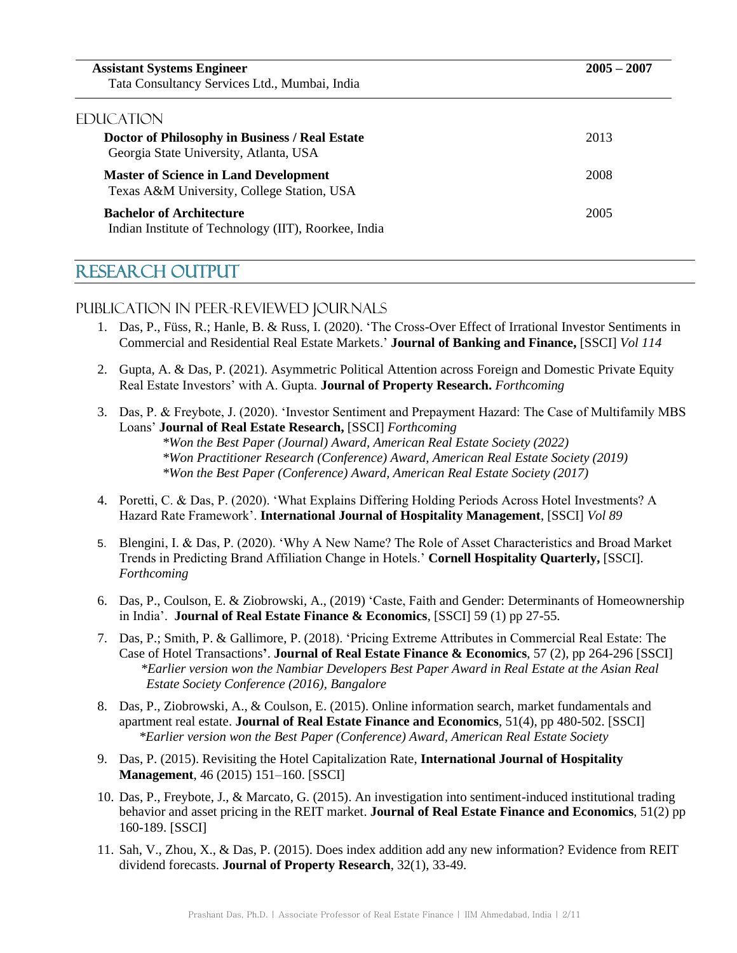| <b>Assistant Systems Engineer</b><br>Tata Consultancy Services Ltd., Mumbai, India         | $2005 - 2007$ |
|--------------------------------------------------------------------------------------------|---------------|
| EDUCATION                                                                                  |               |
| Doctor of Philosophy in Business / Real Estate<br>Georgia State University, Atlanta, USA   | 2013          |
| <b>Master of Science in Land Development</b><br>Texas A&M University, College Station, USA | 2008          |
| <b>Bachelor of Architecture</b><br>Indian Institute of Technology (IIT), Roorkee, India    | 2005          |

# RESEARCH OUTPUT

### Publication in Peer-Reviewed Journals

- 1. Das, P., Füss, R.; Hanle, B. & Russ, I. (2020). 'The Cross-Over Effect of Irrational Investor Sentiments in Commercial and Residential Real Estate Markets.' **Journal of Banking and Finance,** [SSCI] *Vol 114*
- 2. Gupta, A. & Das, P. (2021). Asymmetric Political Attention across Foreign and Domestic Private Equity Real Estate Investors' with A. Gupta. **Journal of Property Research.** *Forthcoming*
- 3. Das, P. & Freybote, J. (2020). 'Investor Sentiment and Prepayment Hazard: The Case of Multifamily MBS Loans' **Journal of Real Estate Research,** [SSCI] *Forthcoming \*Won the Best Paper (Journal) Award, American Real Estate Society (2022) \*Won Practitioner Research (Conference) Award, American Real Estate Society (2019) \*Won the Best Paper (Conference) Award, American Real Estate Society (2017)*
- 4. Poretti, C. & Das, P. (2020). 'What Explains Differing Holding Periods Across Hotel Investments? A Hazard Rate Framework'. **International Journal of Hospitality Management**, [SSCI] *Vol 89*
- 5. Blengini, I. & Das, P. (2020). 'Why A New Name? The Role of Asset Characteristics and Broad Market Trends in Predicting Brand Affiliation Change in Hotels.' **Cornell Hospitality Quarterly,** [SSCI]. *Forthcoming*
- 6. Das, P., Coulson, E. & Ziobrowski, A., (2019) 'Caste, Faith and Gender: Determinants of Homeownership in India'. **Journal of Real Estate Finance & Economics**, [SSCI] 59 (1) pp 27-55.
- 7. Das, P.; Smith, P. & Gallimore, P. (2018). 'Pricing Extreme Attributes in Commercial Real Estate: The Case of Hotel Transactions**'**. **Journal of Real Estate Finance & Economics**, 57 (2), pp 264-296 [SSCI] *\*Earlier version won the Nambiar Developers Best Paper Award in Real Estate at the Asian Real Estate Society Conference (2016), Bangalore*
- 8. Das, P., Ziobrowski, A., & Coulson, E. (2015). Online information search, market fundamentals and apartment real estate. **Journal of Real Estate Finance and Economics**, 51(4), pp 480-502. [SSCI] *\*Earlier version won the Best Paper (Conference) Award, American Real Estate Society*
- 9. Das, P. (2015). Revisiting the Hotel Capitalization Rate, **International Journal of Hospitality Management**, 46 (2015) 151–160. [SSCI]
- 10. Das, P., Freybote, J., & Marcato, G. (2015). An investigation into sentiment-induced institutional trading behavior and asset pricing in the REIT market. **Journal of Real Estate Finance and Economics**, 51(2) pp 160-189. [SSCI]
- 11. Sah, V., Zhou, X., & Das, P. (2015). Does index addition add any new information? Evidence from REIT dividend forecasts. **Journal of Property Research**, 32(1), 33-49.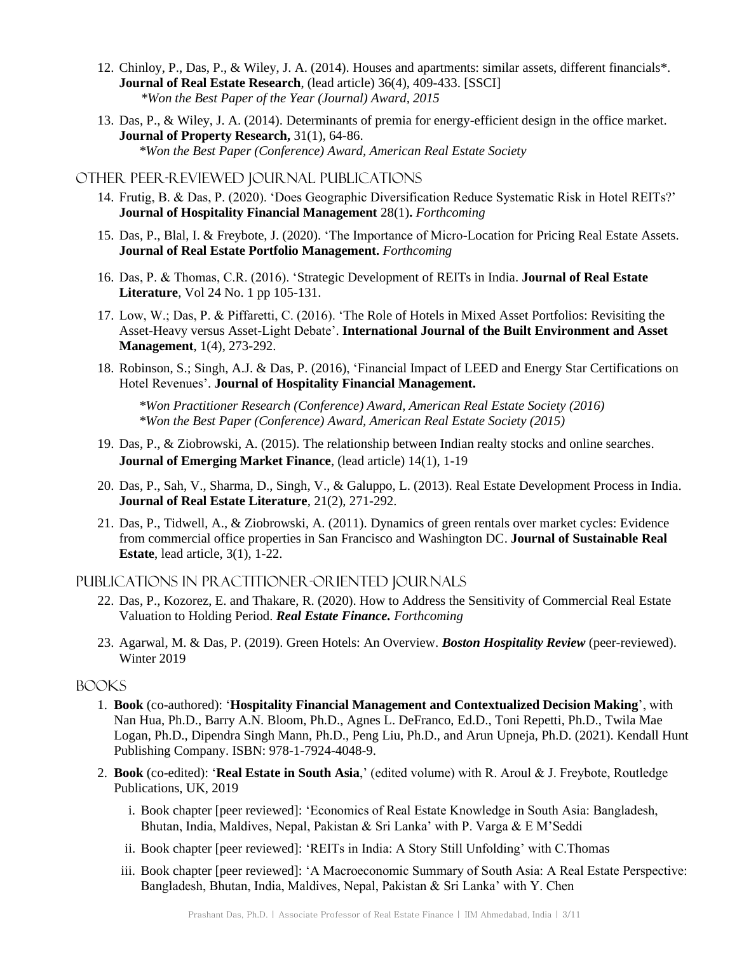- 12. Chinloy, P., Das, P., & Wiley, J. A. (2014). Houses and apartments: similar assets, different financials\*. **Journal of Real Estate Research**, (lead article) 36(4), 409-433. [SSCI] *\*Won the Best Paper of the Year (Journal) Award, 2015*
- 13. Das, P., & Wiley, J. A. (2014). Determinants of premia for energy-efficient design in the office market. **Journal of Property Research,** 31(1), 64-86. *\*Won the Best Paper (Conference) Award, American Real Estate Society*

#### Other peer-reviewed Journal Publications

- 14. Frutig, B. & Das, P. (2020). 'Does Geographic Diversification Reduce Systematic Risk in Hotel REITs?' **Journal of Hospitality Financial Management** 28(1)**.** *Forthcoming*
- 15. Das, P., Blal, I. & Freybote, J. (2020). 'The Importance of Micro-Location for Pricing Real Estate Assets. **Journal of Real Estate Portfolio Management.** *Forthcoming*
- 16. Das, P. & Thomas, C.R. (2016). 'Strategic Development of REITs in India. **Journal of Real Estate Literature**, Vol 24 No. 1 pp 105-131.
- 17. Low, W.; Das, P. & Piffaretti, C. (2016). 'The Role of Hotels in Mixed Asset Portfolios: Revisiting the Asset-Heavy versus Asset-Light Debate'. **International Journal of the Built Environment and Asset Management**, 1(4), 273-292.
- 18. Robinson, S.; Singh, A.J. & Das, P. (2016), 'Financial Impact of LEED and Energy Star Certifications on Hotel Revenues'. **Journal of Hospitality Financial Management.**

 *\*Won Practitioner Research (Conference) Award, American Real Estate Society (2016) \*Won the Best Paper (Conference) Award, American Real Estate Society (2015)*

- 19. Das, P., & Ziobrowski, A. (2015). The relationship between Indian realty stocks and online searches. **Journal of Emerging Market Finance**, (lead article) 14(1), 1-19
- 20. Das, P., Sah, V., Sharma, D., Singh, V., & Galuppo, L. (2013). Real Estate Development Process in India. **Journal of Real Estate Literature**, 21(2), 271-292.
- 21. Das, P., Tidwell, A., & Ziobrowski, A. (2011). Dynamics of green rentals over market cycles: Evidence from commercial office properties in San Francisco and Washington DC. **Journal of Sustainable Real Estate**, lead article, 3(1), 1-22.

#### Publications in practitioner-oriented journals

- 22. Das, P., Kozorez, E. and Thakare, R. (2020). How to Address the Sensitivity of Commercial Real Estate Valuation to Holding Period. *Real Estate Finance. Forthcoming*
- 23. Agarwal, M. & Das, P. (2019). Green Hotels: An Overview. *Boston Hospitality Review* (peer-reviewed). Winter 2019

#### Books

- 1. **Book** (co-authored): '**Hospitality Financial Management and Contextualized Decision Making**', with Nan Hua, Ph.D., Barry A.N. Bloom, Ph.D., Agnes L. DeFranco, Ed.D., Toni Repetti, Ph.D., Twila Mae Logan, Ph.D., Dipendra Singh Mann, Ph.D., Peng Liu, Ph.D., and Arun Upneja, Ph.D. (2021). Kendall Hunt Publishing Company. ISBN: 978-1-7924-4048-9.
- 2. **Book** (co-edited): '**Real Estate in South Asia**,' (edited volume) with R. Aroul & J. Freybote, Routledge Publications, UK, 2019
	- i. Book chapter [peer reviewed]: 'Economics of Real Estate Knowledge in South Asia: Bangladesh, Bhutan, India, Maldives, Nepal, Pakistan & Sri Lanka' with P. Varga & E M'Seddi
	- ii. Book chapter [peer reviewed]: 'REITs in India: A Story Still Unfolding' with C.Thomas
	- iii. Book chapter [peer reviewed]: 'A Macroeconomic Summary of South Asia: A Real Estate Perspective: Bangladesh, Bhutan, India, Maldives, Nepal, Pakistan & Sri Lanka' with Y. Chen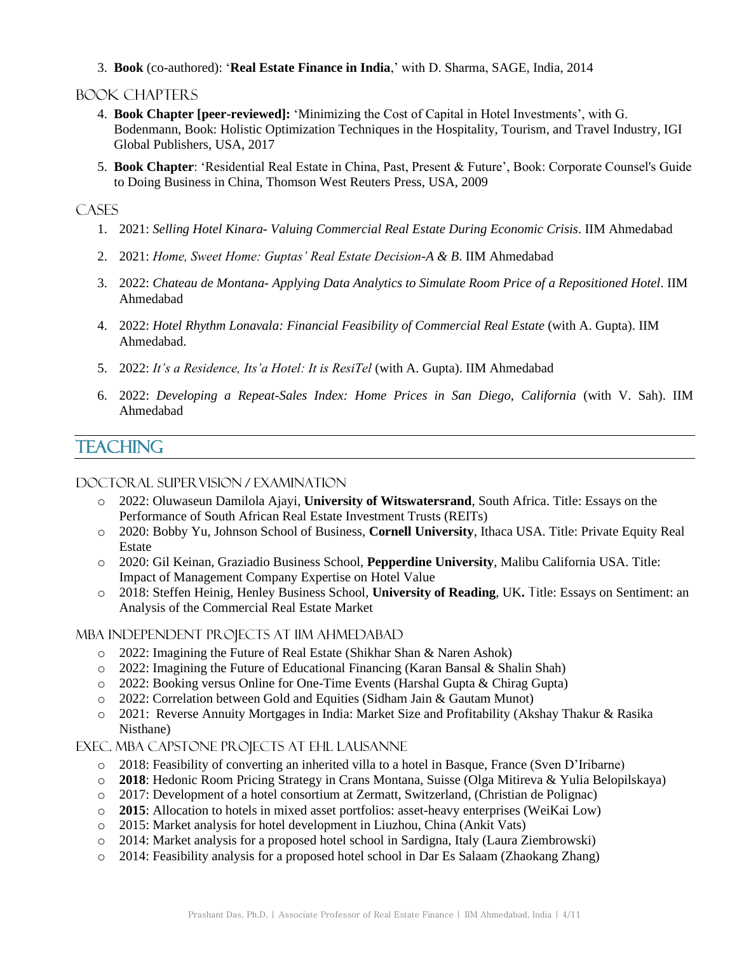3. **Book** (co-authored): '**Real Estate Finance in India**,' with D. Sharma, SAGE, India, 2014

#### BOOK Chapters

- 4. **Book Chapter [peer-reviewed]:** 'Minimizing the Cost of Capital in Hotel Investments', with G. Bodenmann, Book: Holistic Optimization Techniques in the Hospitality, Tourism, and Travel Industry, IGI Global Publishers, USA, 2017
- 5. **Book Chapter**: 'Residential Real Estate in China, Past, Present & Future', Book: Corporate Counsel's Guide to Doing Business in China, Thomson West Reuters Press, USA, 2009

### **CASES**

- 1. 2021: *Selling Hotel Kinara- Valuing Commercial Real Estate During Economic Crisis*. IIM Ahmedabad
- 2. 2021: *Home, Sweet Home: Guptas' Real Estate Decision-A & B*. IIM Ahmedabad
- 3. 2022: *Chateau de Montana- Applying Data Analytics to Simulate Room Price of a Repositioned Hotel*. IIM Ahmedabad
- 4. 2022: *Hotel Rhythm Lonavala: Financial Feasibility of Commercial Real Estate* (with A. Gupta). IIM Ahmedabad.
- 5. 2022: *It's a Residence, Its'a Hotel: It is ResiTel* (with A. Gupta). IIM Ahmedabad
- 6. 2022: *Developing a Repeat-Sales Index: Home Prices in San Diego, California* (with V. Sah). IIM Ahmedabad

# **TEACHING**

#### Doctoral Supervision / Examination

- o 2022: Oluwaseun Damilola Ajayi, **University of Witswatersrand**, South Africa. Title: Essays on the Performance of South African Real Estate Investment Trusts (REITs)
- o 2020: Bobby Yu, Johnson School of Business, **Cornell University**, Ithaca USA. Title: Private Equity Real Estate
- o 2020: Gil Keinan, Graziadio Business School, **Pepperdine University**, Malibu California USA. Title: Impact of Management Company Expertise on Hotel Value
- o 2018: Steffen Heinig, Henley Business School, **University of Reading**, UK**.** Title: Essays on Sentiment: an Analysis of the Commercial Real Estate Market

#### MBA Independent Projects at IIM Ahmedabad

- o 2022: Imagining the Future of Real Estate (Shikhar Shan & Naren Ashok)
- o 2022: Imagining the Future of Educational Financing (Karan Bansal & Shalin Shah)
- o 2022: Booking versus Online for One-Time Events (Harshal Gupta & Chirag Gupta)
- o 2022: Correlation between Gold and Equities (Sidham Jain & Gautam Munot)
- o 2021: Reverse Annuity Mortgages in India: Market Size and Profitability (Akshay Thakur & Rasika Nisthane)

Exec. MBA Capstone Projects at EHL LAusanne

- o 2018: Feasibility of converting an inherited villa to a hotel in Basque, France (Sven D'Iribarne)
- o **2018**: Hedonic Room Pricing Strategy in Crans Montana, Suisse (Olga Mitireva & Yulia Belopilskaya)
- o 2017: Development of a hotel consortium at Zermatt, Switzerland, (Christian de Polignac)
- o **2015**: Allocation to hotels in mixed asset portfolios: asset-heavy enterprises (WeiKai Low)
- o 2015: Market analysis for hotel development in Liuzhou, China (Ankit Vats)
- o 2014: Market analysis for a proposed hotel school in Sardigna, Italy (Laura Ziembrowski)
- o 2014: Feasibility analysis for a proposed hotel school in Dar Es Salaam (Zhaokang Zhang)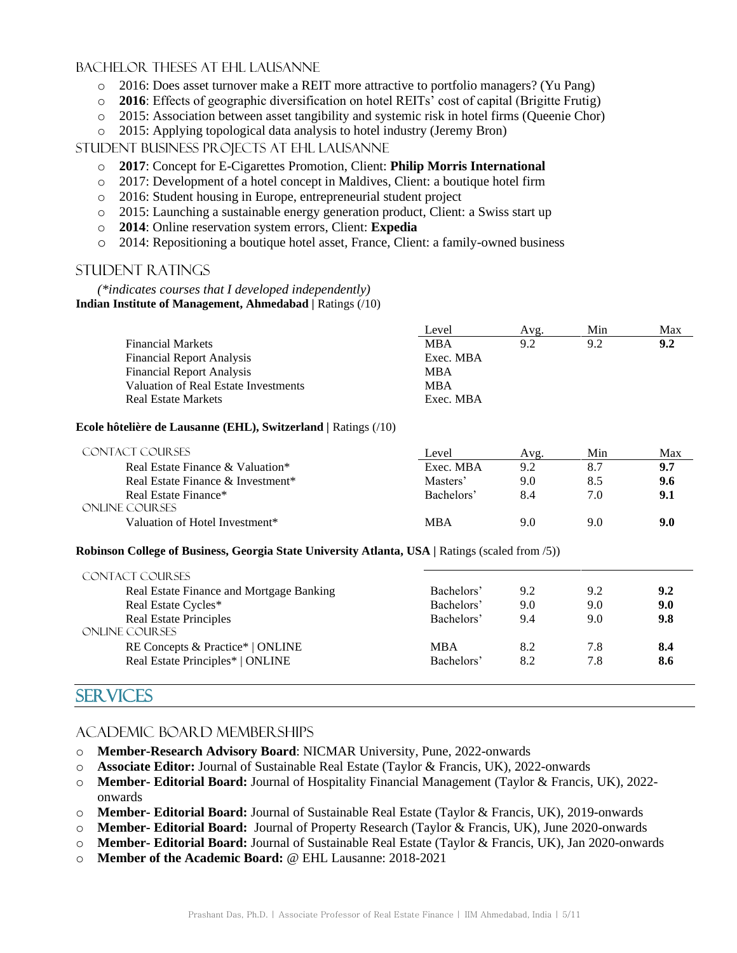#### Bachelor Theses at EHL Lausanne

- 2016: Does asset turnover make a REIT more attractive to portfolio managers? (Yu Pang)
- o **2016**: Effects of geographic diversification on hotel REITs' cost of capital (Brigitte Frutig)
- o 2015: Association between asset tangibility and systemic risk in hotel firms (Queenie Chor)
- o 2015: Applying topological data analysis to hotel industry (Jeremy Bron)

Student Business Projects at EHL Lausanne

- o **2017**: Concept for E-Cigarettes Promotion, Client: **Philip Morris International**
- o 2017: Development of a hotel concept in Maldives, Client: a boutique hotel firm
- o 2016: Student housing in Europe, entrepreneurial student project
- o 2015: Launching a sustainable energy generation product, Client: a Swiss start up
- o **2014**: Online reservation system errors, Client: **Expedia**
- o 2014: Repositioning a boutique hotel asset, France, Client: a family-owned business

#### Student Ratings

*(\*indicates courses that I developed independently)* **Indian Institute of Management, Ahmedabad |** Ratings (/10)

|                                      | Level      | Avg. | Min | Max |
|--------------------------------------|------------|------|-----|-----|
| <b>Financial Markets</b>             | <b>MBA</b> | 92   | 9.2 | 9.2 |
| <b>Financial Report Analysis</b>     | Exec. MBA  |      |     |     |
| <b>Financial Report Analysis</b>     | MBA        |      |     |     |
| Valuation of Real Estate Investments | <b>MBA</b> |      |     |     |
| <b>Real Estate Markets</b>           | Exec. MBA  |      |     |     |

#### **Ecole hôtelière de Lausanne (EHL), Switzerland |** Ratings (/10)

| CONTACT COURSES                   | Level      | Avg. | Min | Max |
|-----------------------------------|------------|------|-----|-----|
| Real Estate Finance & Valuation*  | Exec. MBA  | 9.2  |     | 9.7 |
| Real Estate Finance & Investment* | Masters'   | 9.0  |     | 9.6 |
| Real Estate Finance*              | Bachelors' | 8.4  | 7.0 | 9.1 |
| ONLINE COURSES                    |            |      |     |     |
| Valuation of Hotel Investment*    | <b>MBA</b> | 9.0  | 9.0 | 9.0 |

#### **Robinson College of Business, Georgia State University Atlanta, USA |** Ratings (scaled from /5))

| <b>CONTACT COURSES</b>                          |            |     |     |     |
|-------------------------------------------------|------------|-----|-----|-----|
| Real Estate Finance and Mortgage Banking        | Bachelors' | 9.2 | 9.2 | 9.2 |
| Real Estate Cycles*                             | Bachelors' | 9.0 | 9.0 | 9.0 |
| <b>Real Estate Principles</b><br>ONLINE COURSES | Bachelors' | 9.4 | 9.0 | 9.8 |
| RE Concepts & Practice*   ONLINE                | <b>MBA</b> | 8.2 | 7.8 | 8.4 |
| Real Estate Principles*   ONLINE                | Bachelors' | 8.2 | 7.8 | 8.6 |

## **SERVICES**

#### ACADEMIC Board Memberships

- o **Member-Research Advisory Board**: NICMAR University, Pune, 2022-onwards
- o **Associate Editor:** Journal of Sustainable Real Estate (Taylor & Francis, UK), 2022-onwards
- o **Member- Editorial Board:** Journal of Hospitality Financial Management (Taylor & Francis, UK), 2022 onwards
- o **Member- Editorial Board:** Journal of Sustainable Real Estate (Taylor & Francis, UK), 2019-onwards
- o **Member- Editorial Board:** Journal of Property Research (Taylor & Francis, UK), June 2020-onwards
- o **Member- Editorial Board:** Journal of Sustainable Real Estate (Taylor & Francis, UK), Jan 2020-onwards
- o **Member of the Academic Board:** @ EHL Lausanne: 2018-2021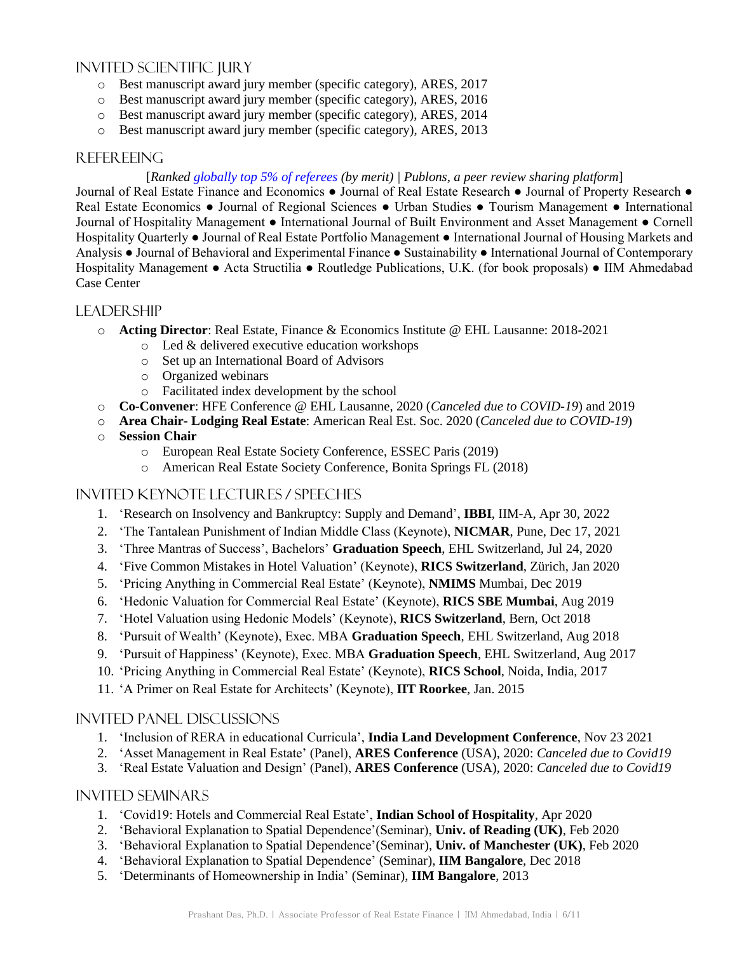### Invited Scientific Jury

- o Best manuscript award jury member (specific category), ARES, 2017
- o Best manuscript award jury member (specific category), ARES, 2016
- o Best manuscript award jury member (specific category), ARES, 2014
- o Best manuscript award jury member (specific category), ARES, 2013

### Refereeing

#### [*Ranked [globally top 5% of referees](https://publons.com/author/1200387/prashant-das-phd#stats) (by merit) | Publons, a peer review sharing platform*]

Journal of Real Estate Finance and Economics ● Journal of Real Estate Research ● Journal of Property Research ● Real Estate Economics ● Journal of Regional Sciences ● Urban Studies ● Tourism Management ● International Journal of Hospitality Management ● International Journal of Built Environment and Asset Management ● Cornell Hospitality Quarterly ● Journal of Real Estate Portfolio Management ● International Journal of Housing Markets and Analysis ● Journal of Behavioral and Experimental Finance ● Sustainability ● International Journal of Contemporary Hospitality Management ● Acta Structilia ● Routledge Publications, U.K. (for book proposals) ● IIM Ahmedabad Case Center

### **LEADERSHIP**

- o **Acting Director**: Real Estate, Finance & Economics Institute @ EHL Lausanne: 2018-2021
	- o Led & delivered executive education workshops
	- o Set up an International Board of Advisors
	- o Organized webinars
	- o Facilitated index development by the school
- o **Co**-**Convener**: HFE Conference @ EHL Lausanne, 2020 (*Canceled due to COVID-19*) and 2019
- o **Area Chair- Lodging Real Estate**: American Real Est. Soc. 2020 (*Canceled due to COVID-19*)
- o **Session Chair**
	- o European Real Estate Society Conference, ESSEC Paris (2019)
	- o American Real Estate Society Conference, Bonita Springs FL (2018)

#### Invited Keynote Lectures / Speeches

- 1. 'Research on Insolvency and Bankruptcy: Supply and Demand', **IBBI**, IIM-A, Apr 30, 2022
- 2. 'The Tantalean Punishment of Indian Middle Class (Keynote), **NICMAR**, Pune, Dec 17, 2021
- 3. 'Three Mantras of Success', Bachelors' **Graduation Speech**, EHL Switzerland, Jul 24, 2020
- 4. 'Five Common Mistakes in Hotel Valuation' (Keynote), **RICS Switzerland**, Zürich, Jan 2020
- 5. 'Pricing Anything in Commercial Real Estate' (Keynote), **NMIMS** Mumbai, Dec 2019
- 6. 'Hedonic Valuation for Commercial Real Estate' (Keynote), **RICS SBE Mumbai**, Aug 2019
- 7. 'Hotel Valuation using Hedonic Models' (Keynote), **RICS Switzerland**, Bern, Oct 2018
- 8. 'Pursuit of Wealth' (Keynote), Exec. MBA **Graduation Speech**, EHL Switzerland, Aug 2018
- 9. 'Pursuit of Happiness' (Keynote), Exec. MBA **Graduation Speech**, EHL Switzerland, Aug 2017
- 10. 'Pricing Anything in Commercial Real Estate' (Keynote), **RICS School**, Noida, India, 2017
- 11. 'A Primer on Real Estate for Architects' (Keynote), **IIT Roorkee**, Jan. 2015

#### Invited Panel Discussions

- 1. 'Inclusion of RERA in educational Curricula', **India Land Development Conference**, Nov 23 2021
- 2. 'Asset Management in Real Estate' (Panel), **ARES Conference** (USA), 2020: *Canceled due to Covid19*
- 3. 'Real Estate Valuation and Design' (Panel), **ARES Conference** (USA), 2020: *Canceled due to Covid19*

#### Invited Seminars

- 1. 'Covid19: Hotels and Commercial Real Estate', **Indian School of Hospitality**, Apr 2020
- 2. 'Behavioral Explanation to Spatial Dependence'(Seminar), **Univ. of Reading (UK)**, Feb 2020
- 3. 'Behavioral Explanation to Spatial Dependence'(Seminar), **Univ. of Manchester (UK)**, Feb 2020
- 4. 'Behavioral Explanation to Spatial Dependence' (Seminar), **IIM Bangalore**, Dec 2018
- 5. 'Determinants of Homeownership in India' (Seminar), **IIM Bangalore**, 2013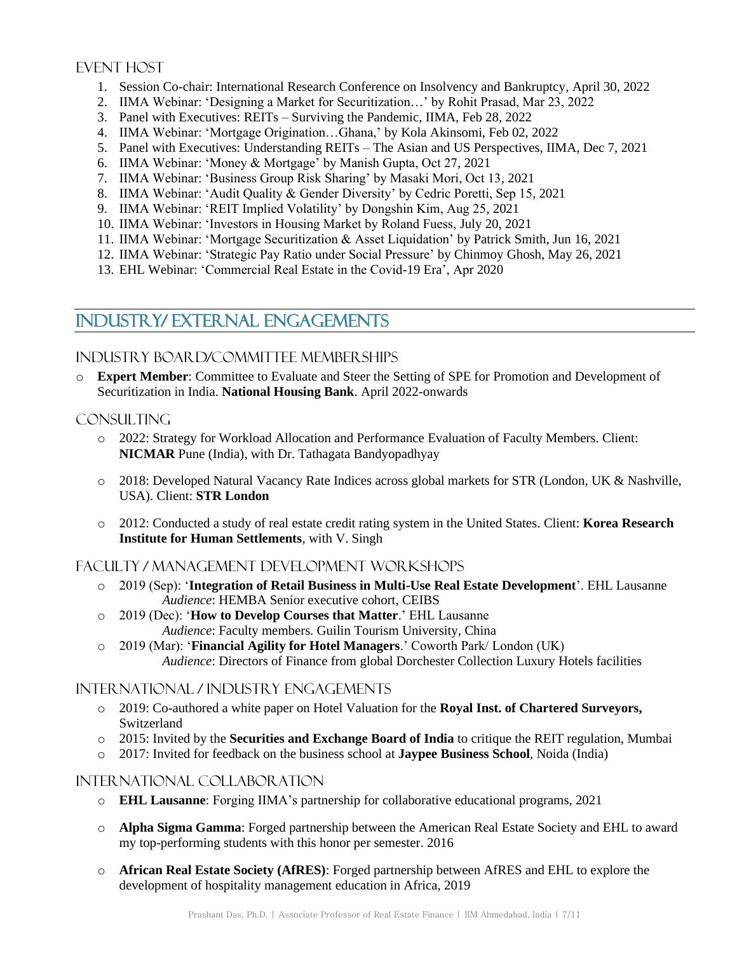## EVENT HOST

- 1. Session Co-chair: International Research Conference on Insolvency and Bankruptcy, April 30, 2022
- 2. IIMA Webinar: 'Designing a Market for Securitization…' by Rohit Prasad, Mar 23, 2022
- 3. Panel with Executives: REITs Surviving the Pandemic, IIMA, Feb 28, 2022
- 4. IIMA Webinar: 'Mortgage Origination…Ghana,' by Kola Akinsomi, Feb 02, 2022
- 5. Panel with Executives: Understanding REITs The Asian and US Perspectives, IIMA, Dec 7, 2021
- 6. IIMA Webinar: 'Money & Mortgage' by Manish Gupta, Oct 27, 2021
- 7. IIMA Webinar: 'Business Group Risk Sharing' by Masaki Mori, Oct 13, 2021
- 8. IIMA Webinar: 'Audit Quality & Gender Diversity' by Cedric Poretti, Sep 15, 2021
- 9. IIMA Webinar: 'REIT Implied Volatility' by Dongshin Kim, Aug 25, 2021
- 10. IIMA Webinar: 'Investors in Housing Market by Roland Fuess, July 20, 2021
- 11. IIMA Webinar: 'Mortgage Securitization & Asset Liquidation' by Patrick Smith, Jun 16, 2021
- 12. IIMA Webinar: 'Strategic Pay Ratio under Social Pressure' by Chinmoy Ghosh, May 26, 2021
- 13. EHL Webinar: 'Commercial Real Estate in the Covid-19 Era', Apr 2020

# INDUSTRY/ EXTERNAL ENGAGEMENTS

## Industry Board/Committee Memberships

o **Expert Member**: Committee to Evaluate and Steer the Setting of SPE for Promotion and Development of Securitization in India. **National Housing Bank**. April 2022-onwards

## CONSULTING

- o 2022: Strategy for Workload Allocation and Performance Evaluation of Faculty Members. Client: **NICMAR** Pune (India), with Dr. Tathagata Bandyopadhyay
- o 2018: Developed Natural Vacancy Rate Indices across global markets for STR (London, UK & Nashville, USA). Client: **STR London**
- o 2012: Conducted a study of real estate credit rating system in the United States. Client: **Korea Research Institute for Human Settlements**, with V. Singh

## Faculty / Management Development Workshops

- o 2019 (Sep): '**Integration of Retail Business in Multi-Use Real Estate Development**'. EHL Lausanne *Audience*: HEMBA Senior executive cohort, CEIBS
- o 2019 (Dec): '**How to Develop Courses that Matter**.' EHL Lausanne *Audience*: Faculty members. Guilin Tourism University, China
- o 2019 (Mar): '**Financial Agility for Hotel Managers**.' Coworth Park/ London (UK) *Audience*: Directors of Finance from global Dorchester Collection Luxury Hotels facilities

## International / Industry Engagements

- o 2019: Co-authored a white paper on Hotel Valuation for the **Royal Inst. of Chartered Surveyors,**  Switzerland
- o 2015: Invited by the **Securities and Exchange Board of India** to critique the REIT regulation, Mumbai
- o 2017: Invited for feedback on the business school at **Jaypee Business School**, Noida (India)

## International Collaboration

- o **EHL Lausanne**: Forging IIMA's partnership for collaborative educational programs, 2021
- o **Alpha Sigma Gamma**: Forged partnership between the American Real Estate Society and EHL to award my top-performing students with this honor per semester. 2016
- o **African Real Estate Society (AfRES)**: Forged partnership between AfRES and EHL to explore the development of hospitality management education in Africa, 2019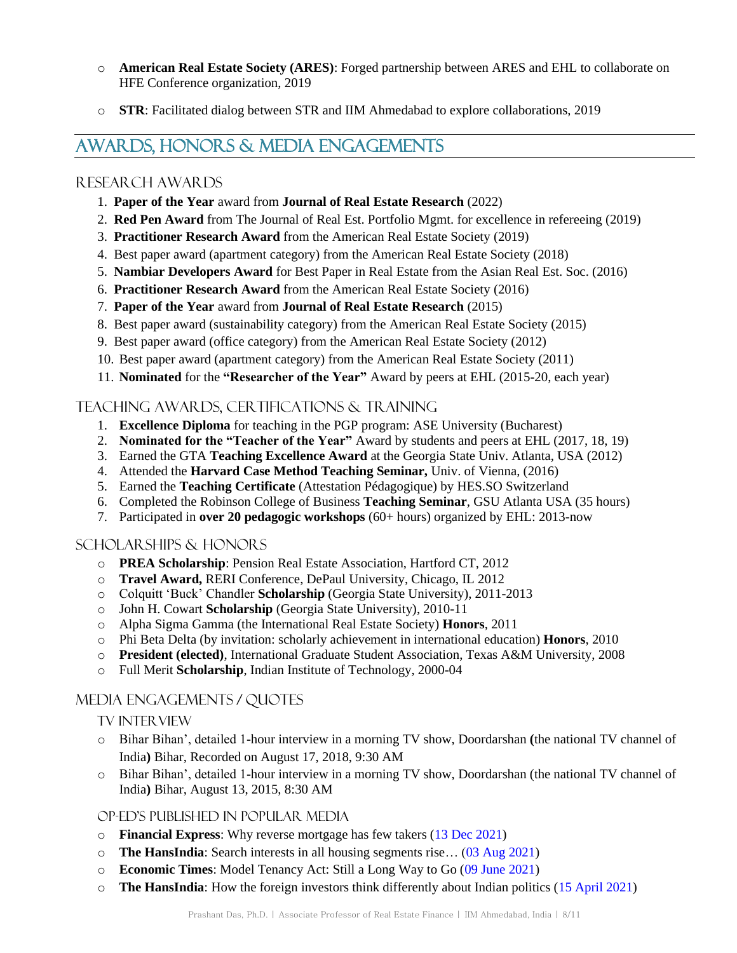- o **American Real Estate Society (ARES)**: Forged partnership between ARES and EHL to collaborate on HFE Conference organization, 2019
- o **STR**: Facilitated dialog between STR and IIM Ahmedabad to explore collaborations, 2019

# AWARDS, HONORS & MEDIA ENGAGEMENTS

#### Research Awards

- 1. **Paper of the Year** award from **Journal of Real Estate Research** (2022)
- 2. **Red Pen Award** from The Journal of Real Est. Portfolio Mgmt. for excellence in refereeing (2019)
- 3. **Practitioner Research Award** from the American Real Estate Society (2019)
- 4. Best paper award (apartment category) from the American Real Estate Society (2018)
- 5. **Nambiar Developers Award** for Best Paper in Real Estate from the Asian Real Est. Soc. (2016)
- 6. **Practitioner Research Award** from the American Real Estate Society (2016)
- 7. **Paper of the Year** award from **Journal of Real Estate Research** (2015)
- 8. Best paper award (sustainability category) from the American Real Estate Society (2015)
- 9. Best paper award (office category) from the American Real Estate Society (2012)
- 10. Best paper award (apartment category) from the American Real Estate Society (2011)
- 11. **Nominated** for the **"Researcher of the Year"** Award by peers at EHL (2015-20, each year)

### Teaching Awards, Certifications & Training

- 1. **Excellence Diploma** for teaching in the PGP program: ASE University (Bucharest)
- 2. **Nominated for the "Teacher of the Year"** Award by students and peers at EHL (2017, 18, 19)
- 3. Earned the GTA **Teaching Excellence Award** at the Georgia State Univ. Atlanta, USA (2012)
- 4. Attended the **Harvard Case Method Teaching Seminar,** Univ. of Vienna, (2016)
- 5. Earned the **Teaching Certificate** (Attestation Pédagogique) by HES.SO Switzerland
- 6. Completed the Robinson College of Business **Teaching Seminar**, GSU Atlanta USA (35 hours)
- 7. Participated in **over 20 pedagogic workshops** (60+ hours) organized by EHL: 2013-now

#### SCHOLARSHIPS & Honors

- o **PREA Scholarship**: Pension Real Estate Association, Hartford CT, 2012
- o **Travel Award,** RERI Conference, DePaul University, Chicago, IL 2012
- o Colquitt 'Buck' Chandler **Scholarship** (Georgia State University), 2011-2013
- o John H. Cowart **Scholarship** (Georgia State University), 2010-11
- o Alpha Sigma Gamma (the International Real Estate Society) **Honors**, 2011
- o Phi Beta Delta [\(by invitation: scholarly achievement in international education\)](http://www.linkedin.com/search?search=&keywords=%CE%A6%CE%92%CE%94+%28Phi+Beta+Delta%29%3B+Alpha+Sigma+Gamma%0A%0A%CE%A6%CE%92%CE%94+%28Phi+Beta+Delta%29+Honor+Society%3A+the+first+honor+society+dedicated+to+recognizing+scholarly+achievement+in+international+education%0A%0AAlpha+Sigma+Gamma%3A+the+only+international+organization+for+the+recognition+real+estate+student+academic+excellence+in+the+world%2E&sortCriteria=R&keepFacets=true) **Honors**, 2010
- o **President (elected)**, International Graduate Student Association, Texas A&M University, 2008
- o Full Merit **Scholarship**, Indian Institute of Technology, 2000-04

### Media Engagements / Quotes

#### TV INTER VIEW

- o Bihar Bihan', detailed 1-hour interview in a morning TV show, Doordarshan **(**the national TV channel of India**)** Bihar, Recorded on August 17, 2018, 9:30 AM
- o Bihar Bihan', detailed 1-hour interview in a morning TV show, Doordarshan (the national TV channel of India**)** Bihar, August 13, 2015, 8:30 AM

#### Op-ed's Published in Popular Media

- o **Financial Express**: Why reverse mortgage has few takers [\(13 Dec 2021\)](https://www.financialexpress.com/money/your-money-why-reverse-annuity-mortgage-has-few-takers/2386326/)
- o **The HansIndia**: Search interests in all housing segments rise… [\(03 Aug 2021\)](https://epaper.bizzbuzz.news/Home/ArticleView?eid=13&edate=03/08/2021&pgid=43042)
- o **Economic Times**: Model Tenancy Act: Still a Long Way to Go [\(09 June 2021\)](https://realty.economictimes.indiatimes.com/realty-check/model-tenancy-act-still-a-long-way-to-go/4965)
- o **The HansIndia**: How the foreign investors think differently about Indian politics [\(15 April 2021\)](https://epaper.bizzbuzz.news/Home/ShareArticle?OrgId=154d46dd2c1&imageview=0)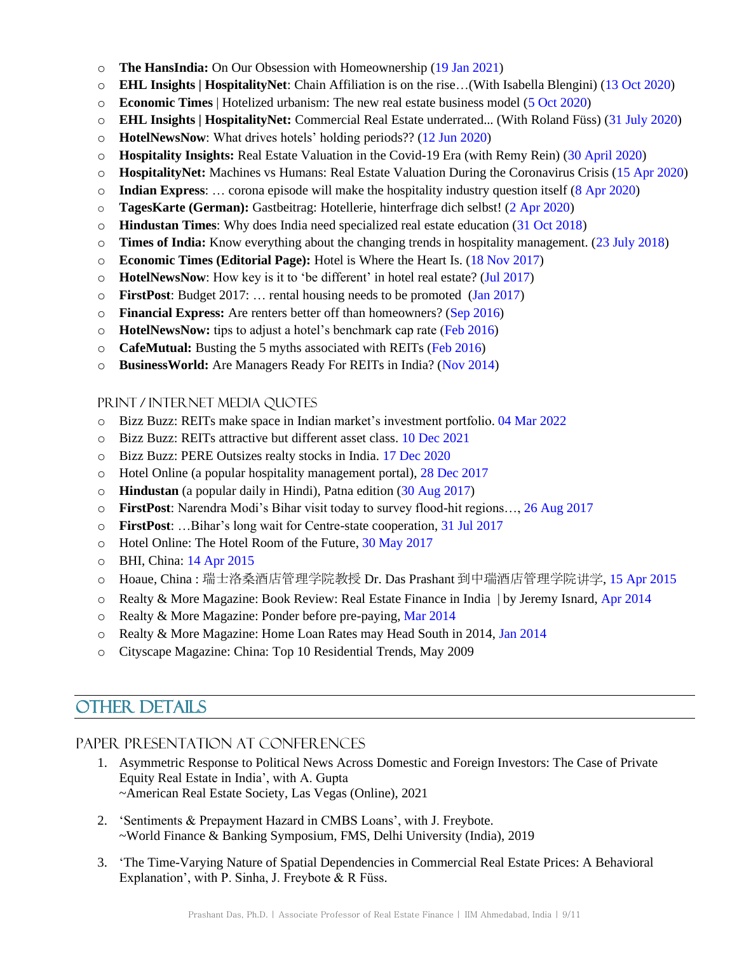- o **The HansIndia:** On Our Obsession with Homeownership (19 Jan 2021)
- o **EHL Insights | HospitalityNet**: Chain Affiliation is on the rise…(With Isabella Blengini) (13 Oct 2020)
- o **Economic Times** | Hotelized urbanism: The new real estate business model (5 Oct 2020)
- o **EHL Insights | HospitalityNet:** Commercial Real Estate underrated... (With Roland Füss) (31 July 2020)
- o **HotelNewsNow**: What drives hotels' holding periods?? (12 Jun 2020)
- o **Hospitality Insights:** Real Estate Valuation in the Covid-19 Era (with Remy Rein) (30 April 2020)
- o **HospitalityNet:** Machines vs Humans: Real Estate Valuation During the Coronavirus Crisis (15 Apr 2020)
- o **Indian Express**: … corona episode will make the hospitality industry question itself (8 Apr 2020)
- o **TagesKarte (German):** Gastbeitrag: Hotellerie, hinterfrage dich selbst! (2 Apr 2020)
- o **Hindustan Times**: Why does India need specialized real estate education (31 Oct 2018)
- o **Times of India:** Know everything about the changing trends in hospitality management. (23 July 2018)
- o **Economic Times (Editorial Page):** Hotel is Where the Heart Is. (18 Nov 2017)
- o **HotelNewsNow**: How key is it to 'be different' in hotel real estate? (Jul 2017)
- o **FirstPost**: Budget 2017: … rental housing needs to be promoted (Jan 2017)
- o **Financial Express:** Are renters better off than homeowners? (Sep 2016)
- o **HotelNewsNow:** tips to adjust a hotel's benchmark cap rate (Feb 2016)
- o **CafeMutual:** Busting the 5 myths associated with REITs (Feb 2016)
- o **BusinessWorld:** Are Managers Ready For REITs in India? (Nov 2014)

#### Print / Internet Media Quotes

- o Bizz Buzz: REITs make space in Indian market's investment portfolio. 04 Mar 2022
- o Bizz Buzz: REITs attractive but different asset class. 10 Dec 2021
- o Bizz Buzz: PERE Outsizes realty stocks in India. 17 Dec 2020
- o Hotel Online (a popular hospitality management portal), 28 Dec 2017
- o **Hindustan** (a popular daily in Hindi), Patna edition (30 Aug 2017)
- o **FirstPost**: Narendra Modi's Bihar visit today to survey flood-hit regions…, 26 Aug 2017
- o **FirstPost**: …Bihar's long wait for Centre-state cooperation, 31 Jul 2017
- o Hotel Online: The Hotel Room of the Future, 30 May 2017
- o BHI, China: 14 Apr 2015
- o Hoaue, China : 瑞士洛桑酒店管理学院教授 Dr. Das Prashant 到中瑞酒店管理学院讲学, 15 Apr 2015
- $\circ$  Realty & More Magazine: Book Review: Real Estate Finance in India | by Jeremy Isnard, Apr 2014
- o Realty & More Magazine: Ponder before pre-paying, Mar 2014
- o Realty & More Magazine: Home Loan Rates may Head South in 2014, Jan 2014
- o Cityscape Magazine: China: Top 10 Residential Trends, May 2009

# OTHER DETAILS

### Paper Presentation at Conferences

- 1. Asymmetric Response to Political News Across Domestic and Foreign Investors: The Case of Private Equity Real Estate in India', with A. Gupta ~American Real Estate Society, Las Vegas (Online), 2021
- 2. 'Sentiments & Prepayment Hazard in CMBS Loans', with J. Freybote. ~World Finance & Banking Symposium, FMS, Delhi University (India), 2019
- 3. 'The Time-Varying Nature of Spatial Dependencies in Commercial Real Estate Prices: A Behavioral Explanation', with P. Sinha, J. Freybote & R Füss.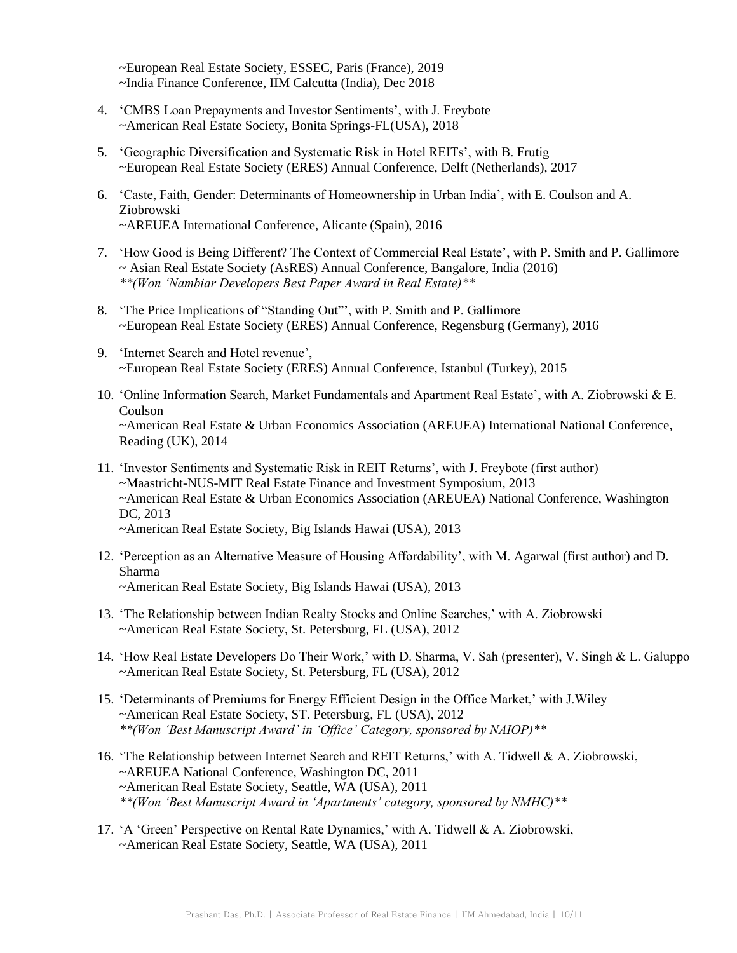~European Real Estate Society, ESSEC, Paris (France), 2019 ~India Finance Conference, IIM Calcutta (India), Dec 2018

- 4. 'CMBS Loan Prepayments and Investor Sentiments', with J. Freybote ~American Real Estate Society, Bonita Springs-FL(USA), 2018
- 5. 'Geographic Diversification and Systematic Risk in Hotel REITs', with B. Frutig ~European Real Estate Society (ERES) Annual Conference, Delft (Netherlands), 2017
- 6. 'Caste, Faith, Gender: Determinants of Homeownership in Urban India', with E. Coulson and A. Ziobrowski ~AREUEA International Conference, Alicante (Spain), 2016
- 7. 'How Good is Being Different? The Context of Commercial Real Estate', with P. Smith and P. Gallimore ~ Asian Real Estate Society (AsRES) Annual Conference, Bangalore, India (2016) *\*\*(Won 'Nambiar Developers Best Paper Award in Real Estate)\*\**
- 8. 'The Price Implications of "Standing Out"', with P. Smith and P. Gallimore ~European Real Estate Society (ERES) Annual Conference, Regensburg (Germany), 2016
- 9. 'Internet Search and Hotel revenue', ~European Real Estate Society (ERES) Annual Conference, Istanbul (Turkey), 2015
- 10. 'Online Information Search, Market Fundamentals and Apartment Real Estate', with A. Ziobrowski & E. Coulson ~American Real Estate & Urban Economics Association (AREUEA) International National Conference, Reading (UK), 2014
- 11. 'Investor Sentiments and Systematic Risk in REIT Returns', with J. Freybote (first author) ~Maastricht-NUS-MIT Real Estate Finance and Investment Symposium, 2013 ~American Real Estate & Urban Economics Association (AREUEA) National Conference, Washington DC, 2013 ~American Real Estate Society, Big Islands Hawai (USA), 2013
- 12. 'Perception as an Alternative Measure of Housing Affordability', with M. Agarwal (first author) and D. Sharma ~American Real Estate Society, Big Islands Hawai (USA), 2013
- 13. 'The Relationship between Indian Realty Stocks and Online Searches,' with A. Ziobrowski ~American Real Estate Society, St. Petersburg, FL (USA), 2012
- 14. 'How Real Estate Developers Do Their Work,' with D. Sharma, V. Sah (presenter), V. Singh & L. Galuppo ~American Real Estate Society, St. Petersburg, FL (USA), 2012
- 15. 'Determinants of Premiums for Energy Efficient Design in the Office Market,' with J.Wiley ~American Real Estate Society, ST. Petersburg, FL (USA), 2012 *\*\*(Won 'Best Manuscript Award' in 'Office' Category, sponsored by NAIOP)\*\**
- 16. 'The Relationship between Internet Search and REIT Returns,' with A. Tidwell & A. Ziobrowski, ~AREUEA National Conference, Washington DC, 2011 ~American Real Estate Society, Seattle, WA (USA), 2011 *\*\*(Won 'Best Manuscript Award in 'Apartments' category, sponsored by NMHC)\*\**
- 17. 'A 'Green' Perspective on Rental Rate Dynamics,' with A. Tidwell & A. Ziobrowski, ~American Real Estate Society, Seattle, WA (USA), 2011